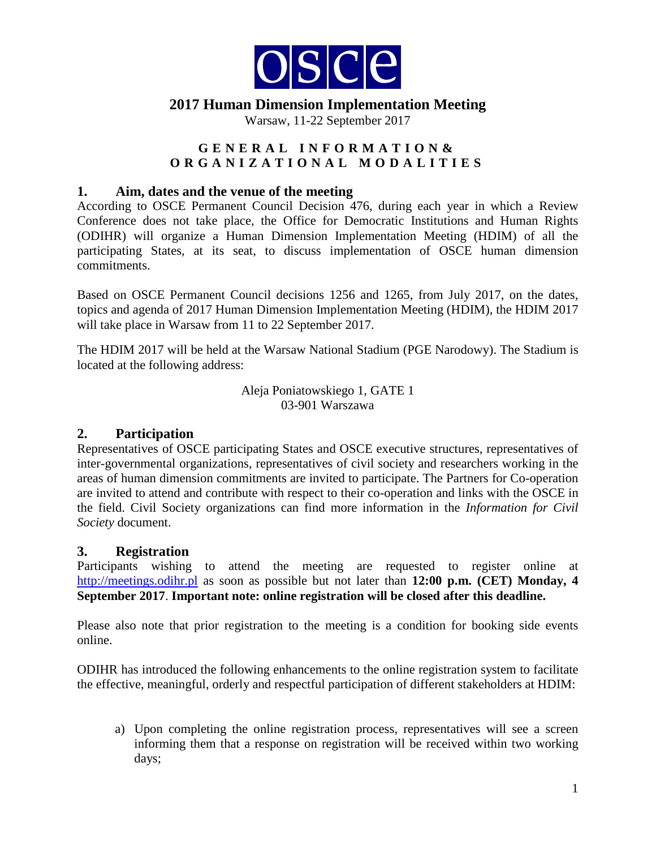

Warsaw, 11-22 September 2017

### **GENERAL INFORMATION & ORGANIZATIONAL MODALITIES**

#### **1. Aim, dates and the venue of the meeting**

According to OSCE Permanent Council Decision 476, during each year in which a Review Conference does not take place, the Office for Democratic Institutions and Human Rights (ODIHR) will organize a Human Dimension Implementation Meeting (HDIM) of all the participating States, at its seat, to discuss implementation of OSCE human dimension commitments.

Based on OSCE Permanent Council decisions 1256 and 1265, from July 2017, on the dates, topics and agenda of 2017 Human Dimension Implementation Meeting (HDIM), the HDIM 2017 will take place in Warsaw from 11 to 22 September 2017.

The HDIM 2017 will be held at the Warsaw National Stadium (PGE Narodowy). The Stadium is located at the following address:

> Aleja Poniatowskiego 1, GATE 1 03-901 Warszawa

### **2. Participation**

Representatives of OSCE participating States and OSCE executive structures, representatives of inter-governmental organizations, representatives of civil society and researchers working in the areas of human dimension commitments are invited to participate. The Partners for Co-operation are invited to attend and contribute with respect to their co-operation and links with the OSCE in the field. Civil Society organizations can find more information in the *Information for Civil Society* document.

### **3. Registration**

Participants wishing to attend the meeting are requested to register online at [http://meetings.odihr.pl](http://meetings.odihr.pl/) as soon as possible but not later than **12:00 p.m. (CET) Monday, 4 September 2017**. **Important note: online registration will be closed after this deadline.**

Please also note that prior registration to the meeting is a condition for booking side events online.

ODIHR has introduced the following enhancements to the online registration system to facilitate the effective, meaningful, orderly and respectful participation of different stakeholders at HDIM:

a) Upon completing the online registration process, representatives will see a screen informing them that a response on registration will be received within two working days;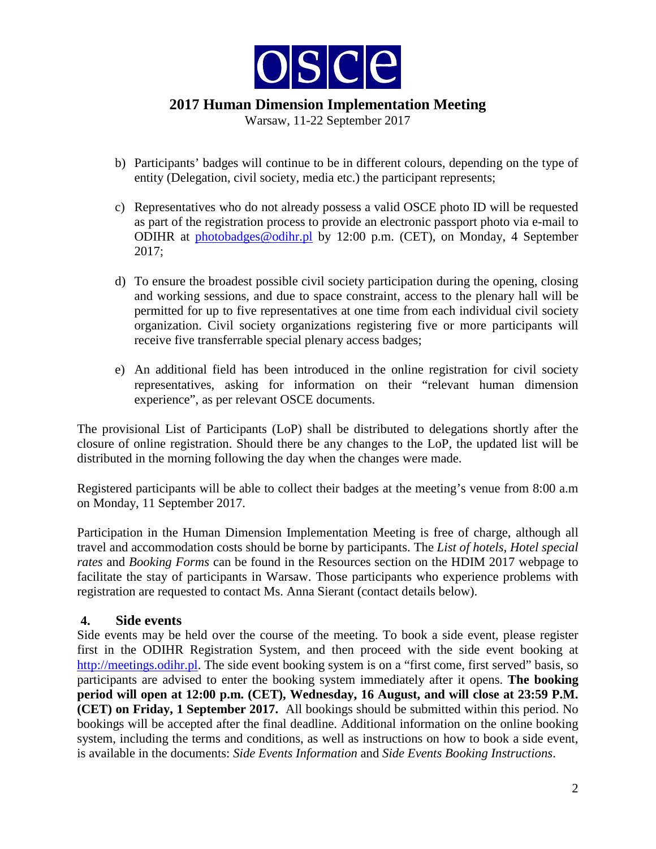

Warsaw, 11-22 September 2017

- b) Participants' badges will continue to be in different colours, depending on the type of entity (Delegation, civil society, media etc.) the participant represents;
- c) Representatives who do not already possess a valid OSCE photo ID will be requested as part of the registration process to provide an electronic passport photo via e-mail to ODIHR at [photobadges@odihr.pl](mailto:photobadges@odihr.pl) by 12:00 p.m. (CET), on Monday, 4 September 2017;
- d) To ensure the broadest possible civil society participation during the opening, closing and working sessions, and due to space constraint, access to the plenary hall will be permitted for up to five representatives at one time from each individual civil society organization. Civil society organizations registering five or more participants will receive five transferrable special plenary access badges;
- e) An additional field has been introduced in the online registration for civil society representatives, asking for information on their "relevant human dimension experience", as per relevant OSCE documents.

The provisional List of Participants (LoP) shall be distributed to delegations shortly after the closure of online registration. Should there be any changes to the LoP, the updated list will be distributed in the morning following the day when the changes were made.

Registered participants will be able to collect their badges at the meeting's venue from 8:00 a.m on Monday, 11 September 2017.

Participation in the Human Dimension Implementation Meeting is free of charge, although all travel and accommodation costs should be borne by participants. The *List of hotels*, *Hotel special rates* and *Booking Forms* can be found in the Resources section on the HDIM 2017 webpage to facilitate the stay of participants in Warsaw. Those participants who experience problems with registration are requested to contact Ms. Anna Sierant (contact details below).

### **4. Side events**

Side events may be held over the course of the meeting. To book a side event, please register first in the ODIHR Registration System, and then proceed with the side event booking at [http://meetings.odihr.pl.](http://meetings.odihr.pl/) The side event booking system is on a "first come, first served" basis, so participants are advised to enter the booking system immediately after it opens. **The booking period will open at 12:00 p.m. (CET), Wednesday, 16 August, and will close at 23:59 P.M. (CET) on Friday, 1 September 2017.** All bookings should be submitted within this period. No bookings will be accepted after the final deadline. Additional information on the online booking system, including the terms and conditions, as well as instructions on how to book a side event, is available in the documents: *Side Events Information* and *Side Events Booking Instructions*.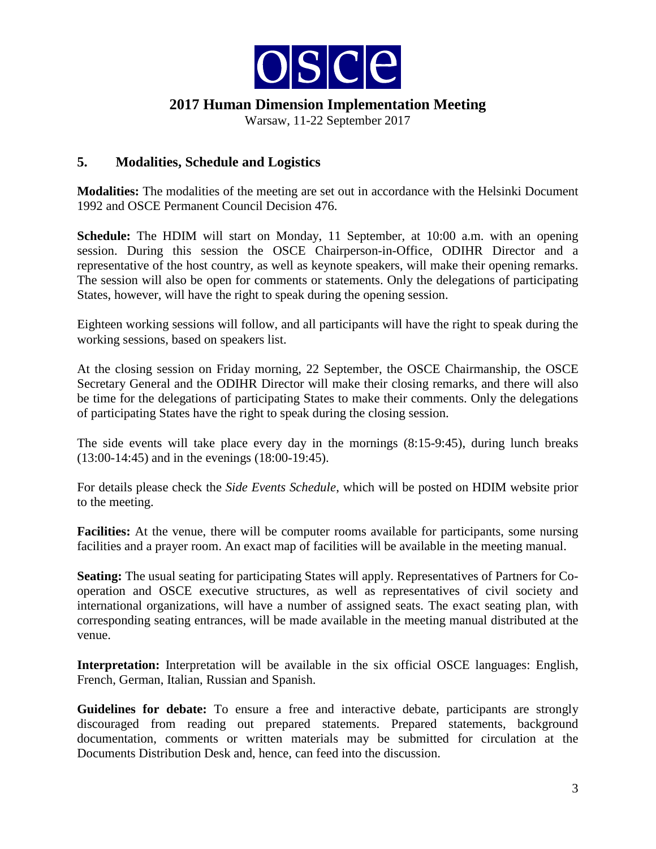

Warsaw, 11-22 September 2017

### **5. Modalities, Schedule and Logistics**

**Modalities:** The modalities of the meeting are set out in accordance with the Helsinki Document 1992 and OSCE Permanent Council Decision 476.

**Schedule:** The HDIM will start on Monday, 11 September, at 10:00 a.m. with an opening session. During this session the OSCE Chairperson-in-Office, ODIHR Director and a representative of the host country, as well as keynote speakers, will make their opening remarks. The session will also be open for comments or statements. Only the delegations of participating States, however, will have the right to speak during the opening session.

Eighteen working sessions will follow, and all participants will have the right to speak during the working sessions, based on speakers list.

At the closing session on Friday morning, 22 September, the OSCE Chairmanship, the OSCE Secretary General and the ODIHR Director will make their closing remarks, and there will also be time for the delegations of participating States to make their comments. Only the delegations of participating States have the right to speak during the closing session.

The side events will take place every day in the mornings (8:15-9:45), during lunch breaks (13:00-14:45) and in the evenings (18:00-19:45).

For details please check the *Side Events Schedule*, which will be posted on HDIM website prior to the meeting.

**Facilities:** At the venue, there will be computer rooms available for participants, some nursing facilities and a prayer room. An exact map of facilities will be available in the meeting manual.

**Seating:** The usual seating for participating States will apply. Representatives of Partners for Cooperation and OSCE executive structures, as well as representatives of civil society and international organizations, will have a number of assigned seats. The exact seating plan, with corresponding seating entrances, will be made available in the meeting manual distributed at the venue.

**Interpretation:** Interpretation will be available in the six official OSCE languages: English, French, German, Italian, Russian and Spanish.

**Guidelines for debate:** To ensure a free and interactive debate, participants are strongly discouraged from reading out prepared statements. Prepared statements, background documentation, comments or written materials may be submitted for circulation at the Documents Distribution Desk and, hence, can feed into the discussion.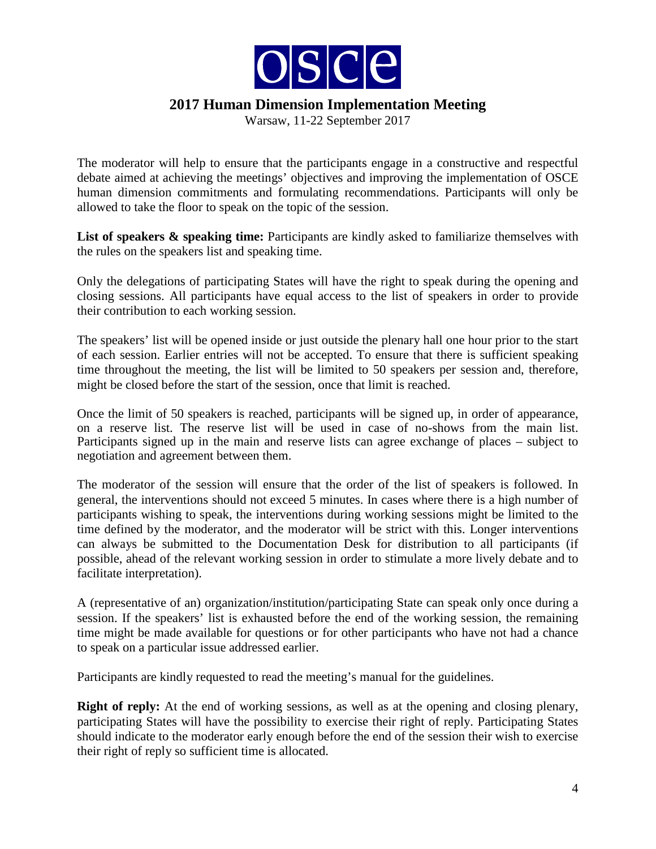

Warsaw, 11-22 September 2017

The moderator will help to ensure that the participants engage in a constructive and respectful debate aimed at achieving the meetings' objectives and improving the implementation of OSCE human dimension commitments and formulating recommendations. Participants will only be allowed to take the floor to speak on the topic of the session.

List of speakers & speaking time: Participants are kindly asked to familiarize themselves with the rules on the speakers list and speaking time.

Only the delegations of participating States will have the right to speak during the opening and closing sessions. All participants have equal access to the list of speakers in order to provide their contribution to each working session.

The speakers' list will be opened inside or just outside the plenary hall one hour prior to the start of each session. Earlier entries will not be accepted. To ensure that there is sufficient speaking time throughout the meeting, the list will be limited to 50 speakers per session and, therefore, might be closed before the start of the session, once that limit is reached.

Once the limit of 50 speakers is reached, participants will be signed up, in order of appearance, on a reserve list. The reserve list will be used in case of no-shows from the main list. Participants signed up in the main and reserve lists can agree exchange of places – subject to negotiation and agreement between them.

The moderator of the session will ensure that the order of the list of speakers is followed. In general, the interventions should not exceed 5 minutes. In cases where there is a high number of participants wishing to speak, the interventions during working sessions might be limited to the time defined by the moderator, and the moderator will be strict with this. Longer interventions can always be submitted to the Documentation Desk for distribution to all participants (if possible, ahead of the relevant working session in order to stimulate a more lively debate and to facilitate interpretation).

A (representative of an) organization/institution/participating State can speak only once during a session. If the speakers' list is exhausted before the end of the working session, the remaining time might be made available for questions or for other participants who have not had a chance to speak on a particular issue addressed earlier.

Participants are kindly requested to read the meeting's manual for the guidelines.

**Right of reply:** At the end of working sessions, as well as at the opening and closing plenary, participating States will have the possibility to exercise their right of reply. Participating States should indicate to the moderator early enough before the end of the session their wish to exercise their right of reply so sufficient time is allocated.